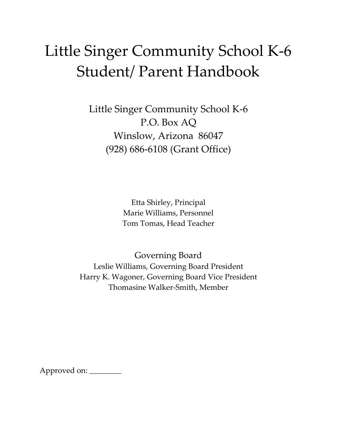# Little Singer Community School K-6 Student/ Parent Handbook

Little Singer Community School K-6 P.O. Box AQ Winslow, Arizona 86047 (928) 686-6108 (Grant Office)

> Etta Shirley, Principal Marie Williams, Personnel Tom Tomas, Head Teacher

Governing Board Leslie Williams, Governing Board President Harry K. Wagoner, Governing Board Vice President Thomasine Walker-Smith, Member

Approved on: \_\_\_\_\_\_\_\_\_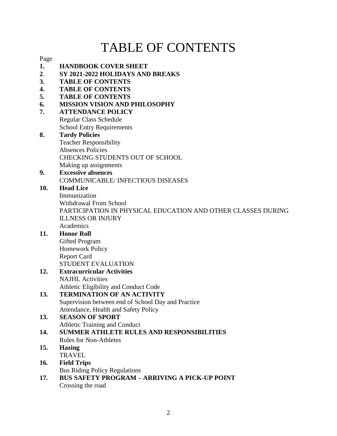## TABLE OF CONTENTS

Page

- **1. HANDBOOK COVER SHEET**
- **2**. **SY 2021-2022 HOLIDAYS AND BREAKS**
- **3. TABLE OF CONTENTS**
- **4. TABLE OF CONTENTS**
- **5. TABLE OF CONTENTS**
- **6. MISSION VISION AND PHILOSOPHY**
- **7. ATTENDANCE POLICY** Regular Class Schedule School Entry Requirements
- **8. Tardy Policies** Teacher Responsibility Absences Policies CHECKING STUDENTS OUT OF SCHOOL Making up assignments
- **9. Excessive absences** COMMUNICABLE/ INFECTIOUS DISEASES

## **10. Head Lice**

Immunization Withdrawal From School PARTICIPATION IN PHYSICAL EDUCATION AND OTHER CLASSES DURING ILLNESS OR INJURY Academics

## **11. Honor Roll**

- Gifted Program Homework Policy Report Card STUDENT EVALUATION
- **12. Extracurricular Activities** NAJHL Activities Athletic Eligibility and Conduct Code

## **13. TERMINATION OF AN ACTIVITY**

Supervision between end of School Day and Practice Attendance, Health and Safety Policy

#### **13. SEASON OF SPORT** Athletic Training and Conduct

### **14. SUMMER ATHLETE RULES AND RESPONSIBILITIES** Rules for Non-Athletes

#### **15. Hazing TRAVEL**

- **16. Field Trips** Bus Riding Policy Regulations
- **17. BUS SAFETY PROGRAM – ARRIVING A PICK-UP POINT** Crossing the road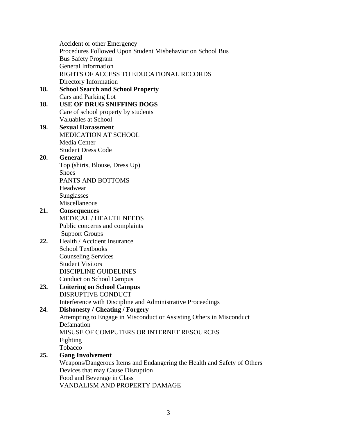Accident or other Emergency Procedures Followed Upon Student Misbehavior on School Bus Bus Safety Program General Information RIGHTS OF ACCESS TO EDUCATIONAL RECORDS Directory Information **18. School Search and School Property** Cars and Parking Lot **18. USE OF DRUG SNIFFING DOGS** Care of school property by students Valuables at School **19. Sexual Harassment** MEDICATION AT SCHOOL Media Center Student Dress Code **20. General** Top (shirts, Blouse, Dress Up) **Shoes** PANTS AND BOTTOMS Headwear Sunglasses Miscellaneous **21. Consequences** MEDICAL / HEALTH NEEDS Public concerns and complaints Support Groups **22.** Health / Accident Insurance School Textbooks Counseling Services Student Visitors DISCIPLINE GUIDELINES Conduct on School Campus **23. Loitering on School Campus** DISRUPTIVE CONDUCT Interference with Discipline and Administrative Proceedings **24. Dishonesty / Cheating / Forgery** Attempting to Engage in Misconduct or Assisting Others in Misconduct Defamation MISUSE OF COMPUTERS OR INTERNET RESOURCES Fighting Tobacco **25. Gang Involvement** Weapons/Dangerous Items and Endangering the Health and Safety of Others Devices that may Cause Disruption Food and Beverage in Class

VANDALISM AND PROPERTY DAMAGE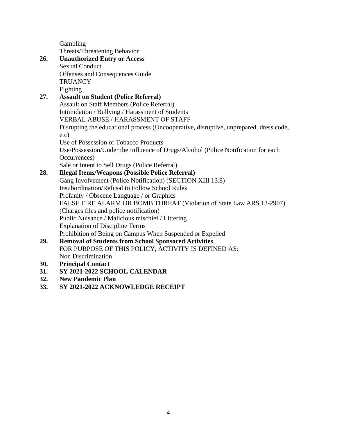Gambling Threats/Threatening Behavior

|     | THE CAUSE THE CALCULING DUTIES TOT                                                     |
|-----|----------------------------------------------------------------------------------------|
| 26. | <b>Unauthorized Entry or Access</b>                                                    |
|     | <b>Sexual Conduct</b>                                                                  |
|     | Offenses and Consequences Guide                                                        |
|     | <b>TRUANCY</b>                                                                         |
|     | Fighting                                                                               |
| 27. | <b>Assault on Student (Police Referral)</b>                                            |
|     | <b>Assault on Staff Members (Police Referral)</b>                                      |
|     | Intimidation / Bullying / Harassment of Students                                       |
|     | <b>VERBAL ABUSE / HARASSMENT OF STAFF</b>                                              |
|     | Disrupting the educational process (Uncooperative, disruptive, unprepared, dress code, |
|     | etc)                                                                                   |
|     | Use of Possession of Tobacco Products                                                  |
|     | Use/Possession/Under the Influence of Drugs/Alcohol (Police Notification for each      |
|     | Occurrences)                                                                           |
|     | Sale or Intent to Sell Drugs (Police Referral)                                         |
| 28. | <b>Illegal Items/Weapons (Possible Police Referral)</b>                                |
|     | Gang Involvement (Police Notification) (SECTION XIII 13.8)                             |
|     | <b>Insubordination/Refusal to Follow School Rules</b>                                  |
|     | Profanity / Obscene Language / or Graphics                                             |
|     | FALSE FIRE ALARM OR BOMB THREAT (Violation of State Law ARS 13-2907)                   |
|     | (Charges files and police notification)                                                |
|     | Public Nuisance / Malicious mischief / Littering                                       |
|     | <b>Explanation of Discipline Terms</b>                                                 |
|     | Prohibition of Being on Campus When Suspended or Expelled                              |
| 29. | <b>Removal of Students from School Sponsored Activities</b>                            |
|     | FOR PURPOSE OF THIS POLICY, ACTIVITY IS DEFINED AS:                                    |
|     | <b>Non Discrimination</b>                                                              |
| 30. | <b>Principal Contact</b>                                                               |
| 31. | SY 2021-2022 SCHOOL CALENDAR                                                           |
| 32. | <b>New Pandemic Plan</b>                                                               |

**33. SY 2021-2022 ACKNOWLEDGE RECEIPT**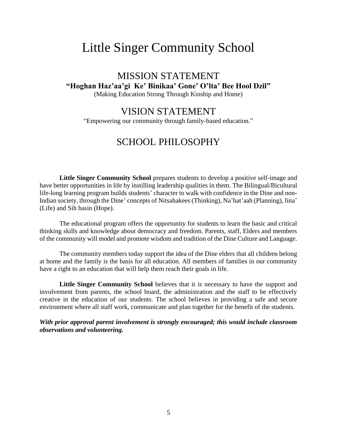## Little Singer Community School

## MISSION STATEMENT **"Hoghan Haz'aa'gi Ke' Binikaa' Gone' O'lta' Bee Hool Dzil"** (Making Education Strong Through Kinship and Home)

## VISION STATEMENT

"Empowering our community through family-based education."

## SCHOOL PHILOSOPHY

**Little Singer Community School** prepares students to develop a positive self-image and have better opportunities in life by instilling leadership qualities in them. The Bilingual/Bicultural life-long learning program builds students' character to walk with confidence in the Dine and non-Indian society, through the Dine' concepts of Nitsahakees (Thinking), Na'hat'aah (Planning), Iina' (Life) and Sih hasin (Hope).

The educational program offers the opportunity for students to learn the basic and critical thinking skills and knowledge about democracy and freedom. Parents, staff, Elders and members of the community will model and promote wisdom and tradition of the Dine Culture and Language.

The community members today support the idea of the Dine elders that all children belong at home and the family is the basis for all education. All members of families in our community have a right to an education that will help them reach their goals in life.

**Little Singer Community School** believes that it is necessary to have the support and involvement from parents, the school board, the administration and the staff to be effectively creative in the education of our students. The school believes in providing a safe and secure environment where all staff work, communicate and plan together for the benefit of the students.

*With prior approval parent involvement is strongly encouraged; this would include classroom observations and volunteering.*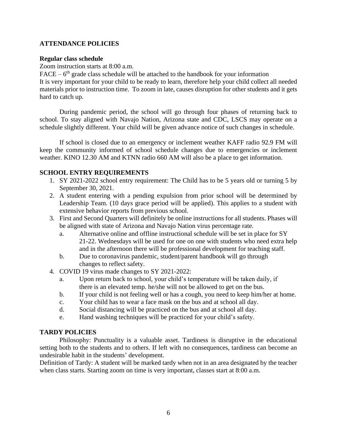### **ATTENDANCE POLICIES**

#### **Regular class schedule**

Zoom instruction starts at 8:00 a.m.

 $FACE - 6<sup>th</sup>$  grade class schedule will be attached to the handbook for your information It is very important for your child to be ready to learn, therefore help your child collect all needed materials prior to instruction time. To zoom in late, causes disruption for other students and it gets hard to catch up.

During pandemic period, the school will go through four phases of returning back to school. To stay aligned with Navajo Nation, Arizona state and CDC, LSCS may operate on a schedule slightly different. Your child will be given advance notice of such changes in schedule.

If school is closed due to an emergency or inclement weather KAFF radio 92.9 FM will keep the community informed of school schedule changes due to emergencies or inclement weather. KINO 12.30 AM and KTNN radio 660 AM will also be a place to get information.

## **SCHOOL ENTRY REQUIREMENTS**

- 1. SY 2021-2022 school entry requirement: The Child has to be 5 years old or turning 5 by September 30, 2021.
- 2. A student entering with a pending expulsion from prior school will be determined by Leadership Team. (10 days grace period will be applied). This applies to a student with extensive behavior reports from previous school.
- 3. First and Second Quarters will definitely be online instructions for all students. Phases will be aligned with state of Arizona and Navajo Nation virus percentage rate.
	- a. Alternative online and offline instructional schedule will be set in place for SY 21-22. Wednesdays will be used for one on one with students who need extra help and in the afternoon there will be professional development for teaching staff.
	- b. Due to coronavirus pandemic, student/parent handbook will go through changes to reflect safety.
- 4. COVID 19 virus made changes to SY 2021-2022:
	- a. Upon return back to school, your child's temperature will be taken daily, if there is an elevated temp. he/she will not be allowed to get on the bus.
	- b. If your child is not feeling well or has a cough, you need to keep him/her at home.
	- c. Your child has to wear a face mask on the bus and at school all day.
	- d. Social distancing will be practiced on the bus and at school all day.
	- e. Hand washing techniques will be practiced for your child's safety.

### **TARDY POLICIES**

Philosophy: Punctuality is a valuable asset. Tardiness is disruptive in the educational setting both to the students and to others. If left with no consequences, tardiness can become an undesirable habit in the students' development.

Definition of Tardy: A student will be marked tardy when not in an area designated by the teacher when class starts. Starting zoom on time is very important, classes start at 8:00 a.m.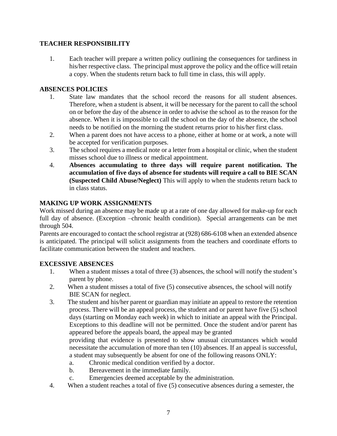## **TEACHER RESPONSIBILITY**

1. Each teacher will prepare a written policy outlining the consequences for tardiness in his/her respective class. The principal must approve the policy and the office will retain a copy. When the students return back to full time in class, this will apply.

## **ABSENCES POLICIES**

- 1. State law mandates that the school record the reasons for all student absences. Therefore, when a student is absent, it will be necessary for the parent to call the school on or before the day of the absence in order to advise the school as to the reason for the absence. When it is impossible to call the school on the day of the absence, the school needs to be notified on the morning the student returns prior to his/her first class.
- 2. When a parent does not have access to a phone, either at home or at work, a note will be accepted for verification purposes.
- 3. The school requires a medical note or a letter from a hospital or clinic, when the student misses school due to illness or medical appointment.
- 4. **Absences accumulating to three days will require parent notification. The accumulation of five days of absence for students will require a call to BIE SCAN (Suspected Child Abuse/Neglect)** This will apply to when the students return back to in class status.

## **MAKING UP WORK ASSIGNMENTS**

Work missed during an absence may be made up at a rate of one day allowed for make-up for each full day of absence. (Exception –chronic health condition). Special arrangements can be met through 504.

Parents are encouraged to contact the school registrar at (928) 686-6108 when an extended absence is anticipated. The principal will solicit assignments from the teachers and coordinate efforts to facilitate communication between the student and teachers.

### **EXCESSIVE ABSENCES**

- 1. When a student misses a total of three (3) absences, the school will notify the student's parent by phone.
- 2. When a student misses a total of five (5) consecutive absences, the school will notify BIE SCAN for neglect.
- 3. The student and his/her parent or guardian may initiate an appeal to restore the retention process. There will be an appeal process, the student and or parent have five (5) school days (starting on Monday each week) in which to initiate an appeal with the Principal. Exceptions to this deadline will not be permitted. Once the student and/or parent has appeared before the appeals board, the appeal may be granted providing that evidence is presented to show unusual circumstances which would necessitate the accumulation of more than ten (10) absences. If an appeal is successful,

a student may subsequently be absent for one of the following reasons ONLY:

- a. Chronic medical condition verified by a doctor.
- b. Bereavement in the immediate family.
- c. Emergencies deemed acceptable by the administration.
- 4. When a student reaches a total of five (5) consecutive absences during a semester, the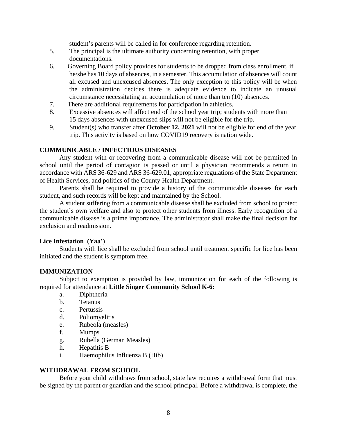student's parents will be called in for conference regarding retention.

- 5. The principal is the ultimate authority concerning retention, with proper documentations.
- 6. Governing Board policy provides for students to be dropped from class enrollment, if he/she has 10 days of absences, in a semester. This accumulation of absences will count all excused and unexcused absences. The only exception to this policy will be when the administration decides there is adequate evidence to indicate an unusual circumstance necessitating an accumulation of more than ten (10) absences.
- 7. There are additional requirements for participation in athletics.
- 8. Excessive absences will affect end of the school year trip; students with more than 15 days absences with unexcused slips will not be eligible for the trip.
- 9. Student(s) who transfer after **October 12, 2021** will not be eligible for end of the year trip. This activity is based on how COVID19 recovery is nation wide.

#### **COMMUNICABLE / INFECTIOUS DISEASES**

Any student with or recovering from a communicable disease will not be permitted in school until the period of contagion is passed or until a physician recommends a return in accordance with ARS 36-629 and ARS 36-629.01, appropriate regulations of the State Department of Health Services, and politics of the County Health Department.

Parents shall be required to provide a history of the communicable diseases for each student, and such records will be kept and maintained by the School.

A student suffering from a communicable disease shall be excluded from school to protect the student's own welfare and also to protect other students from illness. Early recognition of a communicable disease is a prime importance. The administrator shall make the final decision for exclusion and readmission.

#### **Lice Infestation (Yaa')**

Students with lice shall be excluded from school until treatment specific for lice has been initiated and the student is symptom free.

#### **IMMUNIZATION**

Subject to exemption is provided by law, immunization for each of the following is required for attendance at **Little Singer Community School K-6:**

- a. Diphtheria
- b. Tetanus
- c. Pertussis
- d. Poliomyelitis
- e. Rubeola (measles)
- f. Mumps
- g. Rubella (German Measles)
- h. Hepatitis B
- i. Haemophilus Influenza B (Hib)

#### **WITHDRAWAL FROM SCHOOL**

Before your child withdraws from school, state law requires a withdrawal form that must be signed by the parent or guardian and the school principal. Before a withdrawal is complete, the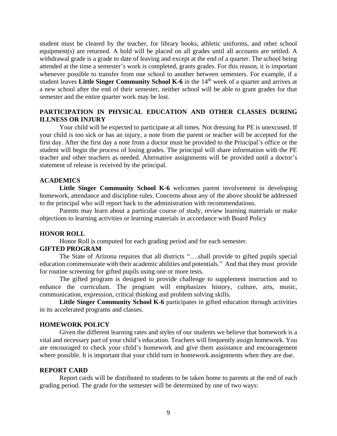student must be cleared by the teacher, for library books, athletic uniforms, and other school equipment(s) are returned. A hold will be placed on all grades until all accounts are settled. A withdrawal grade is a grade to date of leaving and except at the end of a quarter. The school being attended at the time a semester's work is completed, grants grades. For this reason, it is important whenever possible to transfer from one school to another between semesters. For example, if a student leaves **Little Singer Community School K-6** in the 14th week of a quarter and arrives at a new school after the end of their semester, neither school will be able to grant grades for that semester and the entire quarter work may be lost.

#### **PARTICIPATION IN PHYSICAL EDUCATION AND OTHER CLASSES DURING ILLNESS OR INJURY**

Your child will be expected to participate at all times. Not dressing for PE is unexcused. If your child is too sick or has an injury, a note from the parent or teacher will be accepted for the first day. After the first day a note from a doctor must be provided to the Principal's office or the student will begin the process of losing grades. The principal will share information with the PE teacher and other teachers as needed. Alternative assignments will be provided until a doctor's statement of release is received by the principal.

#### **ACADEMICS**

**Little Singer Community School K-6** welcomes parent involvement in developing homework, attendance and discipline rules. Concerns about any of the above should be addressed to the principal who will report back to the administration with recommendations.

Parents may learn about a particular course of study, review learning materials or make objections to learning activities or learning materials in accordance with Board Policy

#### **HONOR ROLL**

Honor Roll is computed for each grading period and for each semester.

#### **GIFTED PROGRAM**

The State of Arizona requires that all districts "….shall provide to gifted pupils special education commensurate with their academic abilities and potentials." And that they must provide for routine screening for gifted pupils using one or more tests.

The gifted program is designed to provide challenge to supplement instruction and to enhance the curriculum. The program will emphasizes history, culture, arts, music, communication, expression, critical thinking and problem solving skills.

**Little Singer Community School K-6** participates in gifted education through activities in its accelerated programs and classes.

#### **HOMEWORK POLICY**

Given the different learning rates and styles of our students we believe that homework is a vital and necessary part of your child's education. Teachers will frequently assign homework. You are encouraged to check your child's homework and give them assistance and encouragement where possible. It is important that your child turn in homework assignments when they are due.

#### **REPORT CARD**

Report cards will be distributed to students to be taken home to parents at the end of each grading period. The grade for the semester will be determined by one of two ways: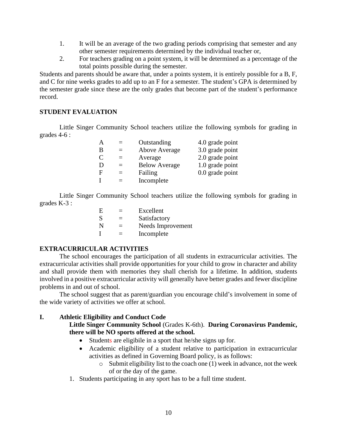- 1. It will be an average of the two grading periods comprising that semester and any other semester requirements determined by the individual teacher or,
- 2. For teachers grading on a point system, it will be determined as a percentage of the total points possible during the semester.

Students and parents should be aware that, under a points system, it is entirely possible for a B, F, and C for nine weeks grades to add up to an F for a semester. The student's GPA is determined by the semester grade since these are the only grades that become part of the student's performance record.

#### **STUDENT EVALUATION**

Little Singer Community School teachers utilize the following symbols for grading in grades 4-6 :

|   | $=$                      | Outstanding          | 4.0 grade point   |
|---|--------------------------|----------------------|-------------------|
| В |                          | Above Average        | 3.0 grade point   |
| C | $=$                      | Average              | 2.0 grade point   |
| D | $=$                      | <b>Below Average</b> | 1.0 grade point   |
| F | $\overline{\phantom{0}}$ | Failing              | $0.0$ grade point |
|   |                          | Incomplete           |                   |

Little Singer Community School teachers utilize the following symbols for grading in grades K-3 :

| E            | $=$ | Excellent         |
|--------------|-----|-------------------|
| <sub>S</sub> | $=$ | Satisfactory      |
| N            | $=$ | Needs Improvement |
|              | $=$ | Incomplete        |

#### **EXTRACURRICULAR ACTIVITIES**

The school encourages the participation of all students in extracurricular activities. The extracurricular activities shall provide opportunities for your child to grow in character and ability and shall provide them with memories they shall cherish for a lifetime. In addition, students involved in a positive extracurricular activity will generally have better grades and fewer discipline problems in and out of school.

The school suggest that as parent/guardian you encourage child's involvement in some of the wide variety of activities we offer at school.

### **I. Athletic Eligibility and Conduct Code**

**Little Singer Community School** (Grades K-6th). **During Coronavirus Pandemic, there will be NO sports offered at the school.**

- Students are eligibile in a sport that he/she signs up for.
- Academic eligibility of a student relative to participation in extracurricular activities as defined in Governing Board policy, is as follows:
	- $\circ$  Submit eligibility list to the coach one (1) week in advance, not the week of or the day of the game.
- 1. Students participating in any sport has to be a full time student.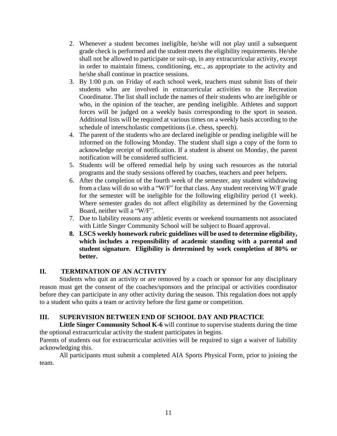- 2. Whenever a student becomes ineligible, he/she will not play until a subsequent grade check is performed and the student meets the eligibility requirements. He/she shall not be allowed to participate or suit-up, in any extracurricular activity, except in order to maintain fitness, conditioning, etc., as appropriate to the activity and he/she shall continue in practice sessions.
- 3. By 1:00 p.m. on Friday of each school week, teachers must submit lists of their students who are involved in extracurricular activities to the Recreation Coordinator. The list shall include the names of their students who are ineligible or who, in the opinion of the teacher, are pending ineligible. Athletes and support forces will be judged on a weekly basis corresponding to the sport in season. Additional lists will be required at various times on a weekly basis according to the schedule of interscholastic competitions (i.e. chess, speech).
- 4. The parent of the students who are declared ineligible or pending ineligible will be informed on the following Monday. The student shall sign a copy of the form to acknowledge receipt of notification. If a student is absent on Monday, the parent notification will be considered sufficient.
- 5. Students will be offered remedial help by using such resources as the tutorial programs and the study sessions offered by coaches, teachers and peer helpers.
- 6. After the completion of the fourth week of the semester, any student withdrawing from a class will do so with a "W/F" for that class. Any student receiving W/F grade for the semester will be ineligible for the following eligibility period (1 week). Where semester grades do not affect eligibility as determined by the Governing Board, neither will a "W/F".
- 7. Due to liability reasons any athletic events or weekend tournaments not associated with Little Singer Community School will be subject to Board approval.
- **8. LSCS weekly homework rubric guidelines will be used to determine eligibility, which includes a responsibility of academic standing with a parental and student signature. Eligibility is determined by work completion of 80% or better.**

## **II. TERMINATION OF AN ACTIVITY**

Students who quit an activity or are removed by a coach or sponsor for any disciplinary reason must get the consent of the coaches/sponsors and the principal or activities coordinator before they can participate in any other activity during the season. This regulation does not apply to a student who quits a team or activity before the first game or competition.

## **III. SUPERVISION BETWEEN END OF SCHOOL DAY AND PRACTICE**

**Little Singer Community School K-6** will continue to supervise students during the time the optional extracurricular activity the student participates in begins.

Parents of students out for extracurricular activities will be required to sign a waiver of liability acknowledging this.

All participants must submit a completed AIA Sports Physical Form, prior to joining the team.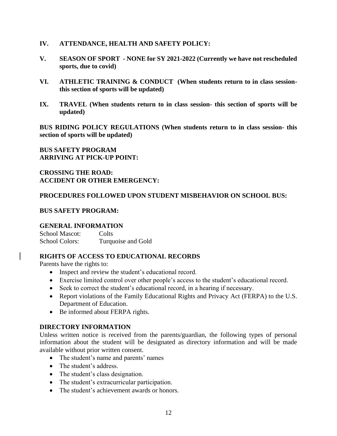#### **IV. ATTENDANCE, HEALTH AND SAFETY POLICY:**

- **V. SEASON OF SPORT - NONE for SY 2021-2022 (Currently we have not rescheduled sports, due to covid)**
- **VI. ATHLETIC TRAINING & CONDUCT (When students return to in class sessionthis section of sports will be updated)**
- **IX. TRAVEL (When students return to in class session- this section of sports will be updated)**

**BUS RIDING POLICY REGULATIONS (When students return to in class session- this section of sports will be updated)**

#### **BUS SAFETY PROGRAM ARRIVING AT PICK-UP POINT:**

#### **CROSSING THE ROAD: ACCIDENT OR OTHER EMERGENCY:**

#### **PROCEDURES FOLLOWED UPON STUDENT MISBEHAVIOR ON SCHOOL BUS:**

#### **BUS SAFETY PROGRAM:**

#### **GENERAL INFORMATION**

School Mascot: Colts School Colors: Turquoise and Gold

### **RIGHTS OF ACCESS TO EDUCATIONAL RECORDS**

Parents have the rights to:

- Inspect and review the student's educational record.
- Exercise limited control over other people's access to the student's educational record.
- Seek to correct the student's educational record, in a hearing if necessary.
- Report violations of the Family Educational Rights and Privacy Act (FERPA) to the U.S. Department of Education.
- Be informed about FERPA rights.

### **DIRECTORY INFORMATION**

Unless written notice is received from the parents/guardian, the following types of personal information about the student will be designated as directory information and will be made available without prior written consent.

- The student's name and parents' names
- The student's address.
- The student's class designation.
- The student's extracurricular participation.
- The student's achievement awards or honors.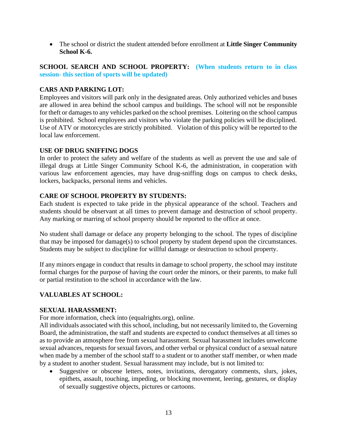• The school or district the student attended before enrollment at **Little Singer Community School K-6.**

**SCHOOL SEARCH AND SCHOOL PROPERTY: (When students return to in class session- this section of sports will be updated)**

#### **CARS AND PARKING LOT:**

Employees and visitors will park only in the designated areas. Only authorized vehicles and buses are allowed in area behind the school campus and buildings. The school will not be responsible for theft or damages to any vehicles parked on the school premises. Loitering on the school campus is prohibited. School employees and visitors who violate the parking policies will be disciplined. Use of ATV or motorcycles are strictly prohibited. Violation of this policy will be reported to the local law enforcement.

#### **USE OF DRUG SNIFFING DOGS**

In order to protect the safety and welfare of the students as well as prevent the use and sale of illegal drugs at Little Singer Community School K-6, the administration, in cooperation with various law enforcement agencies, may have drug-sniffing dogs on campus to check desks, lockers, backpacks, personal items and vehicles.

#### **CARE OF SCHOOL PROPERTY BY STUDENTS:**

Each student is expected to take pride in the physical appearance of the school. Teachers and students should be observant at all times to prevent damage and destruction of school property. Any marking or marring of school property should be reported to the office at once.

No student shall damage or deface any property belonging to the school. The types of discipline that may be imposed for damage(s) to school property by student depend upon the circumstances. Students may be subject to discipline for willful damage or destruction to school property.

If any minors engage in conduct that results in damage to school property, the school may institute formal charges for the purpose of having the court order the minors, or their parents, to make full or partial restitution to the school in accordance with the law.

#### **VALUABLES AT SCHOOL:**

#### **SEXUAL HARASSMENT:**

For more information, check into (equalrights.org), online.

All individuals associated with this school, including, but not necessarily limited to, the Governing Board, the administration, the staff and students are expected to conduct themselves at all times so as to provide an atmosphere free from sexual harassment. Sexual harassment includes unwelcome sexual advances, requests for sexual favors, and other verbal or physical conduct of a sexual nature when made by a member of the school staff to a student or to another staff member, or when made by a student to another student. Sexual harassment may include, but is not limited to:

• Suggestive or obscene letters, notes, invitations, derogatory comments, slurs, jokes, epithets, assault, touching, impeding, or blocking movement, leering, gestures, or display of sexually suggestive objects, pictures or cartoons.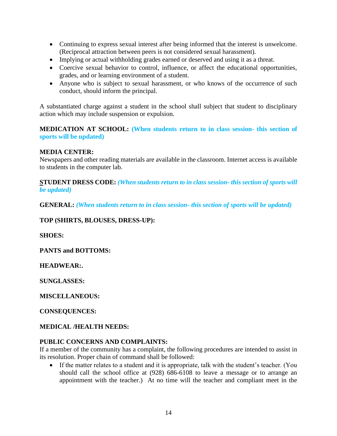- Continuing to express sexual interest after being informed that the interest is unwelcome. (Reciprocal attraction between peers is not considered sexual harassment).
- Implying or actual withholding grades earned or deserved and using it as a threat.
- Coercive sexual behavior to control, influence, or affect the educational opportunities, grades, and or learning environment of a student.
- Anyone who is subject to sexual harassment, or who knows of the occurrence of such conduct, should inform the principal.

A substantiated charge against a student in the school shall subject that student to disciplinary action which may include suspension or expulsion.

**MEDICATION AT SCHOOL: (When students return to in class session- this section of sports will be updated)**

### **MEDIA CENTER:**

Newspapers and other reading materials are available in the classroom. Internet access is available to students in the computer lab.

**STUDENT DRESS CODE:** *(When students return to in class session- this section of sports will be updated)*

**GENERAL:** *(When students return to in class session- this section of sports will be updated)*

**TOP (SHIRTS, BLOUSES, DRESS-UP):**

**SHOES:**

**PANTS and BOTTOMS:**

**HEADWEAR:.**

**SUNGLASSES:**

**MISCELLANEOUS:**

**CONSEQUENCES:**

**MEDICAL /HEALTH NEEDS:** 

#### **PUBLIC CONCERNS AND COMPLAINTS:**

If a member of the community has a complaint, the following procedures are intended to assist in its resolution. Proper chain of command shall be followed:

If the matter relates to a student and it is appropriate, talk with the student's teacher. (You should call the school office at (928) 686-6108 to leave a message or to arrange an appointment with the teacher.) At no time will the teacher and compliant meet in the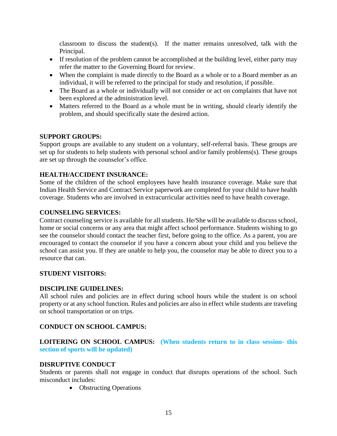classroom to discuss the student(s). If the matter remains unresolved, talk with the Principal.

- If resolution of the problem cannot be accomplished at the building level, either party may refer the matter to the Governing Board for review.
- When the complaint is made directly to the Board as a whole or to a Board member as an individual, it will be referred to the principal for study and resolution, if possible.
- The Board as a whole or individually will not consider or act on complaints that have not been explored at the administration level.
- Matters referred to the Board as a whole must be in writing, should clearly identify the problem, and should specifically state the desired action.

#### **SUPPORT GROUPS:**

Support groups are available to any student on a voluntary, self-referral basis. These groups are set up for students to help students with personal school and/or family problems(s). These groups are set up through the counselor's office.

#### **HEALTH/ACCIDENT INSURANCE:**

Some of the children of the school employees have health insurance coverage. Make sure that Indian Health Service and Contract Service paperwork are completed for your child to have health coverage. Students who are involved in extracurricular activities need to have health coverage.

#### **COUNSELING SERVICES:**

Contract counseling service is available for all students. He/She will be available to discuss school, home or social concerns or any area that might affect school performance. Students wishing to go see the counselor should contact the teacher first, before going to the office. As a parent, you are encouraged to contact the counselor if you have a concern about your child and you believe the school can assist you. If they are unable to help you, the counselor may be able to direct you to a resource that can.

#### **STUDENT VISITORS:**

#### **DISCIPLINE GUIDELINES:**

All school rules and policies are in effect during school hours while the student is on school property or at any school function. Rules and policies are also in effect while students are traveling on school transportation or on trips.

#### **CONDUCT ON SCHOOL CAMPUS:**

**LOITERING ON SCHOOL CAMPUS: (When students return to in class session- this section of sports will be updated)**

#### **DISRUPTIVE CONDUCT**

Students or parents shall not engage in conduct that disrupts operations of the school. Such misconduct includes:

• Obstructing Operations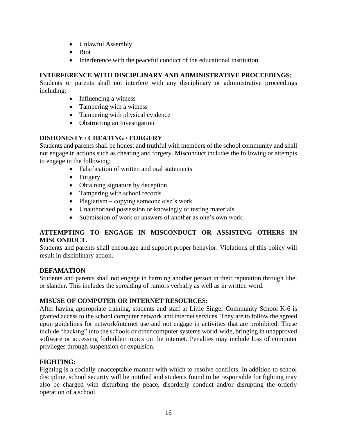- Unlawful Assembly
- Riot
- Interference with the peaceful conduct of the educational institution.

## **INTERFERENCE WITH DISCIPLINARY AND ADMINISTRATIVE PROCEEDINGS:**

Students or parents shall not interfere with any disciplinary or administrative proceedings including:

- Influencing a witness
- Tampering with a witness
- Tampering with physical evidence
- Obstructing an Investigation

## **DISHONESTY / CHEATING / FORGERY**

Students and parents shall be honest and truthful with members of the school community and shall not engage in actions such as cheating and forgery. Misconduct includes the following or attempts to engage in the following:

- Falsification of written and oral statements
- Forgery
- Obtaining signature by deception
- Tampering with school records
- Plagiarism copying someone else's work.
- Unauthorized possession or knowingly of testing materials.
- Submission of work or answers of another as one's own work.

## **ATTEMPTING TO ENGAGE IN MISCONDUCT OR ASSISTING OTHERS IN MISCONDUCT.**

Students and parents shall encourage and support proper behavior. Violations of this policy will result in disciplinary action.

### **DEFAMATION**

Students and parents shall not engage in harming another person in their reputation through libel or slander. This includes the spreading of rumors verbally as well as in written word.

## **MISUSE OF COMPUTER OR INTERNET RESOURCES:**

After having appropriate training, students and staff at Little Singer Community School K-6 is granted access to the school computer network and internet services. They are to follow the agreed upon guidelines for network/internet use and not engage in activities that are prohibited. These include "hacking" into the schools or other computer systems world-wide, bringing in unapproved software or accessing forbidden topics on the internet. Penalties may include loss of computer privileges through suspension or expulsion.

## **FIGHTING:**

Fighting is a socially unacceptable manner with which to resolve conflicts. In addition to school discipline, school security will be notified and students found to be responsible for fighting may also be charged with disturbing the peace, disorderly conduct and/or disrupting the orderly operation of a school.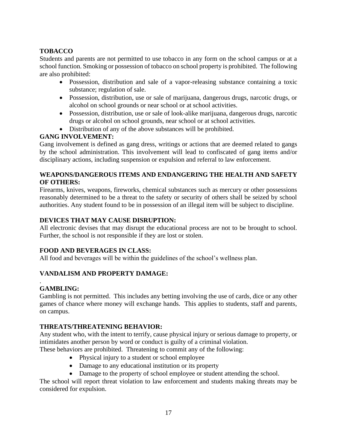## **TOBACCO**

Students and parents are not permitted to use tobacco in any form on the school campus or at a school function. Smoking or possession of tobacco on school property is prohibited. The following are also prohibited:

- Possession, distribution and sale of a vapor-releasing substance containing a toxic substance; regulation of sale.
- Possession, distribution, use or sale of marijuana, dangerous drugs, narcotic drugs, or alcohol on school grounds or near school or at school activities.
- Possession, distribution, use or sale of look-alike marijuana, dangerous drugs, narcotic drugs or alcohol on school grounds, near school or at school activities.
- Distribution of any of the above substances will be prohibited.

## **GANG INVOLVEMENT:**

Gang involvement is defined as gang dress, writings or actions that are deemed related to gangs by the school administration. This involvement will lead to confiscated of gang items and/or disciplinary actions, including suspension or expulsion and referral to law enforcement.

## **WEAPONS/DANGEROUS ITEMS AND ENDANGERING THE HEALTH AND SAFETY OF OTHERS:**

Firearms, knives, weapons, fireworks, chemical substances such as mercury or other possessions reasonably determined to be a threat to the safety or security of others shall be seized by school authorities. Any student found to be in possession of an illegal item will be subject to discipline.

## **DEVICES THAT MAY CAUSE DISRUPTION:**

All electronic devises that may disrupt the educational process are not to be brought to school. Further, the school is not responsible if they are lost or stolen.

## **FOOD AND BEVERAGES IN CLASS:**

All food and beverages will be within the guidelines of the school's wellness plan.

## **VANDALISM AND PROPERTY DAMAGE:**

#### . **GAMBLING:**

Gambling is not permitted. This includes any betting involving the use of cards, dice or any other games of chance where money will exchange hands. This applies to students, staff and parents, on campus.

## **THREATS/THREATENING BEHAVIOR:**

Any student who, with the intent to terrify, cause physical injury or serious damage to property, or intimidates another person by word or conduct is guilty of a criminal violation.

These behaviors are prohibited. Threatening to commit any of the following:

- Physical injury to a student or school employee
- Damage to any educational institution or its property
- Damage to the property of school employee or student attending the school.

The school will report threat violation to law enforcement and students making threats may be considered for expulsion.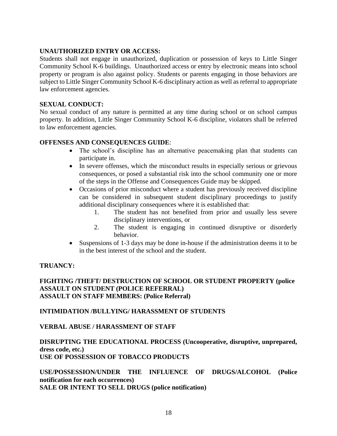#### **UNAUTHORIZED ENTRY OR ACCESS:**

Students shall not engage in unauthorized, duplication or possession of keys to Little Singer Community School K-6 buildings. Unauthorized access or entry by electronic means into school property or program is also against policy. Students or parents engaging in those behaviors are subject to Little Singer Community School K-6 disciplinary action as well as referral to appropriate law enforcement agencies.

#### **SEXUAL CONDUCT:**

No sexual conduct of any nature is permitted at any time during school or on school campus property. In addition, Little Singer Community School K-6 discipline, violators shall be referred to law enforcement agencies.

#### **OFFENSES AND CONSEQUENCES GUIDE**:

- The school's discipline has an alternative peacemaking plan that students can participate in.
- In severe offenses, which the misconduct results in especially serious or grievous consequences, or posed a substantial risk into the school community one or more of the steps in the Offense and Consequences Guide may be skipped.
- Occasions of prior misconduct where a student has previously received discipline can be considered in subsequent student disciplinary proceedings to justify additional disciplinary consequences where it is established that:
	- 1. The student has not benefited from prior and usually less severe disciplinary interventions, or
	- 2. The student is engaging in continued disruptive or disorderly behavior.
- Suspensions of 1-3 days may be done in-house if the administration deems it to be in the best interest of the school and the student.

#### **TRUANCY:**

**FIGHTING /THEFT/ DESTRUCTION OF SCHOOL OR STUDENT PROPERTY (police ASSAULT ON STUDENT (POLICE REFERRAL) ASSAULT ON STAFF MEMBERS: (Police Referral)**

#### **INTIMIDATION /BULLYING/ HARASSMENT OF STUDENTS**

#### **VERBAL ABUSE / HARASSMENT OF STAFF**

### **DISRUPTING THE EDUCATIONAL PROCESS (Uncooperative, disruptive, unprepared, dress code, etc.) USE OF POSSESSION OF TOBACCO PRODUCTS**

**USE/POSSESSION/UNDER THE INFLUENCE OF DRUGS/ALCOHOL (Police notification for each occurrences) SALE OR INTENT TO SELL DRUGS (police notification)**